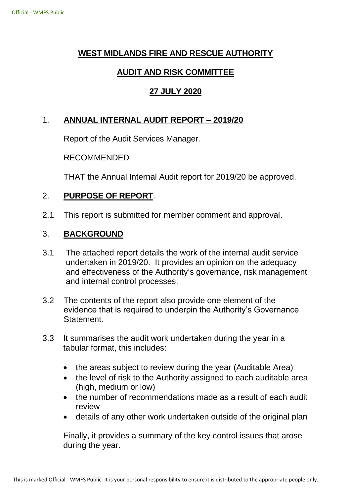# **WEST MIDLANDS FIRE AND RESCUE AUTHORITY**

## **AUDIT AND RISK COMMITTEE**

## **27 JULY 2020**

# 1. **ANNUAL INTERNAL AUDIT REPORT – 2019/20**

Report of the Audit Services Manager.

#### RECOMMENDED

THAT the Annual Internal Audit report for 2019/20 be approved.

#### 2. **PURPOSE OF REPORT**.

2.1 This report is submitted for member comment and approval.

#### 3. **BACKGROUND**

- 3.1 The attached report details the work of the internal audit service undertaken in 2019/20. It provides an opinion on the adequacy and effectiveness of the Authority's governance, risk management and internal control processes.
- 3.2 The contents of the report also provide one element of the evidence that is required to underpin the Authority's Governance Statement.
- 3.3 It summarises the audit work undertaken during the year in a tabular format, this includes:
	- the areas subject to review during the year (Auditable Area)
	- the level of risk to the Authority assigned to each auditable area (high, medium or low)
	- the number of recommendations made as a result of each audit review
	- details of any other work undertaken outside of the original plan

Finally, it provides a summary of the key control issues that arose during the year.